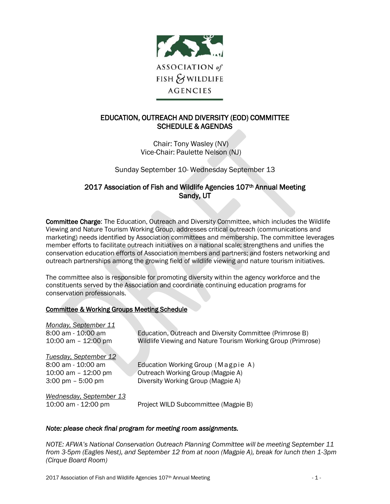

# EDUCATION, OUTREACH AND DIVERSITY (EOD) COMMITTEE SCHEDULE & AGENDAS

Chair: Tony Wasley (NV) Vice-Chair: Paulette Nelson (NJ)

Sunday September 10- Wednesday September 13

## 2017 Association of Fish and Wildlife Agencies 107<sup>th</sup> Annual Meeting Sandy, UT

Committee Charge: The Education, Outreach and Diversity Committee, which includes the Wildlife Viewing and Nature Tourism Working Group, addresses critical outreach (communications and marketing) needs identified by Association committees and membership. The committee leverages member efforts to facilitate outreach initiatives on a national scale; strengthens and unifies the conservation education efforts of Association members and partners; and fosters networking and outreach partnerships among the growing field of wildlife viewing and nature tourism initiatives.

The committee also is responsible for promoting diversity within the agency workforce and the constituents served by the Association and coordinate continuing education programs for conservation professionals.

### Committee & Working Groups Meeting Schedule

| Monday, September 11                |                                                              |
|-------------------------------------|--------------------------------------------------------------|
| 8:00 am - 10:00 am                  | Education, Outreach and Diversity Committee (Primrose B)     |
| 10:00 am $-$ 12:00 pm               | Wildlife Viewing and Nature Tourism Working Group (Primrose) |
| Tuesday, September 12               |                                                              |
| 8:00 am - 10:00 am                  | Education Working Group (Magpie A)                           |
| 10:00 am $-$ 12:00 pm               | Outreach Working Group (Magpie A)                            |
| $3:00 \text{ pm} - 5:00 \text{ pm}$ | Diversity Working Group (Magpie A)                           |
| Wednesday, September 13             |                                                              |
| 10:00 am - 12:00 pm                 | Project WILD Subcommittee (Magpie B)                         |

#### *Note: please check final program for meeting room assignments.*

*NOTE: AFWA's National Conservation Outreach Planning Committee will be meeting September 11 from 3-5pm (Eagles Nest), and September 12 from at noon (Magpie A), break for lunch then 1-3pm (Cirque Board Room)*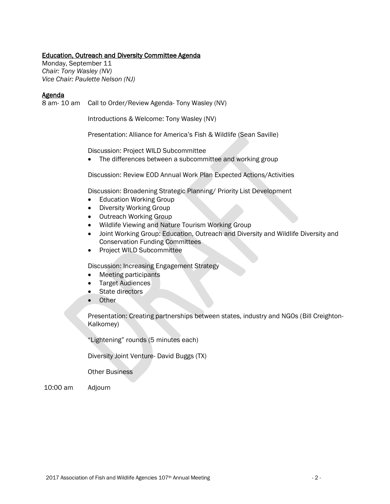#### Education, Outreach and Diversity Committee Agenda

Monday, September 11 *Chair: Tony Wasley (NV) Vice Chair: Paulette Nelson (NJ)*

#### Agenda

8 am- 10 am Call to Order/Review Agenda- Tony Wasley (NV)

Introductions & Welcome: Tony Wasley (NV)

Presentation: Alliance for America's Fish & Wildlife (Sean Saville)

Discussion: Project WILD Subcommittee

• The differences between a subcommittee and working group

Discussion: Review EOD Annual Work Plan Expected Actions/Activities

Discussion: Broadening Strategic Planning/ Priority List Development

- Education Working Group
- Diversity Working Group
- Outreach Working Group
- Wildlife Viewing and Nature Tourism Working Group
- Joint Working Group: Education, Outreach and Diversity and Wildlife Diversity and Conservation Funding Committees
- Project WILD Subcommittee

Discussion: Increasing Engagement Strategy

- Meeting participants
- Target Audiences
- State directors
- Other

Presentation: Creating partnerships between states, industry and NGOs (Bill Creighton-Kalkomey)

"Lightening" rounds (5 minutes each)

Diversity Joint Venture- David Buggs (TX)

Other Business

10:00 am Adjourn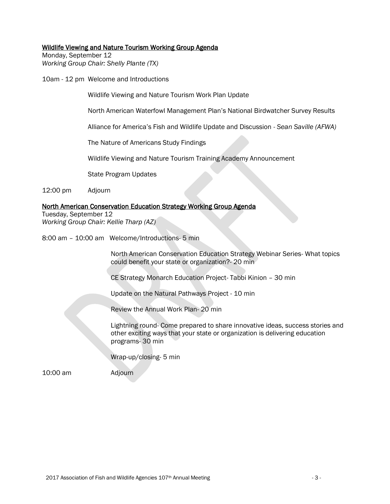#### Wildlife Viewing and Nature Tourism Working Group Agenda

Monday, September 12 *Working Group Chair: Shelly Plante (TX)*

10am - 12 pm Welcome and Introductions

Wildlife Viewing and Nature Tourism Work Plan Update

North American Waterfowl Management Plan's National Birdwatcher Survey Results

Alliance for America's Fish and Wildlife Update and Discussion - *Sean Saville (AFWA)*

The Nature of Americans Study Findings

Wildlife Viewing and Nature Tourism Training Academy Announcement

State Program Updates

12:00 pm Adjourn

#### North American Conservation Education Strategy Working Group Agenda

Tuesday, September 12 *Working Group Chair: Kellie Tharp (AZ)*

8:00 am – 10:00 am Welcome/Introductions- 5 min

North American Conservation Education Strategy Webinar Series- What topics could benefit your state or organization?- 20 min

CE Strategy Monarch Education Project- Tabbi Kinion – 30 min

Update on the Natural Pathways Project - 10 min

Review the Annual Work Plan- 20 min

Lightning round- Come prepared to share innovative ideas, success stories and other exciting ways that your state or organization is delivering education programs- 30 min

Wrap-up/closing- 5 min

10:00 am Adjourn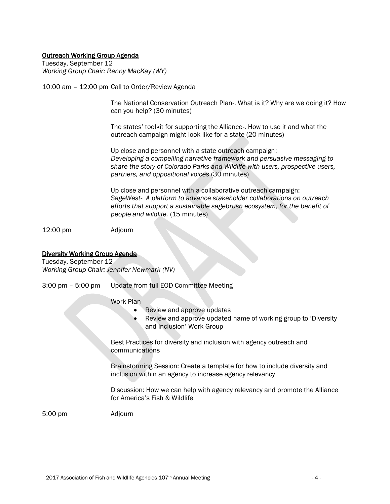#### Outreach Working Group Agenda

Tuesday, September 12 *Working Group Chair: Renny MacKay (WY)*

10:00 am – 12:00 pm Call to Order/Review Agenda

The National Conservation Outreach Plan-. What is it? Why are we doing it? How can you help? (30 minutes)

The states' toolkit for supporting the Alliance-. How to use it and what the outreach campaign might look like for a state (20 minutes)

Up close and personnel with a state outreach campaign: *Developing a compelling narrative framework and persuasive messaging to share the story of Colorado Parks and Wildlife with users, prospective users, partners, and oppositional voices* (30 minutes)

Up close and personnel with a collaborative outreach campaign: *SageWest- A platform to advance stakeholder collaborations on outreach efforts that support a sustainable sagebrush ecosystem, for the benefit of people and wildlife.* (15 minutes)

12:00 pm Adjourn

# Diversity Working Group Agenda

Tuesday, September 12 *Working Group Chair: Jennifer Newmark (NV)*

3:00 pm – 5:00 pm Update from full EOD Committee Meeting

Work Plan

- Review and approve updates
- Review and approve updated name of working group to 'Diversity and Inclusion' Work Group

Best Practices for diversity and inclusion with agency outreach and communications

Brainstorming Session: Create a template for how to include diversity and inclusion within an agency to increase agency relevancy

Discussion: How we can help with agency relevancy and promote the Alliance for America's Fish & Wildlife

5:00 pm Adjourn